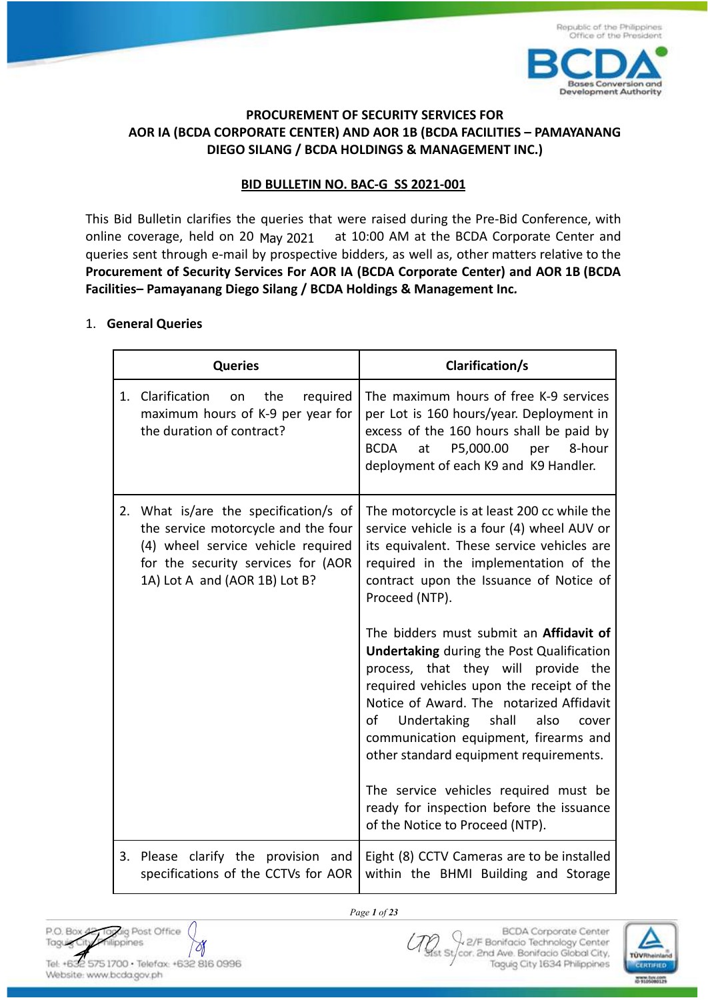



## **PROCUREMENT OF SECURITY SERVICES FOR AOR IA (BCDA CORPORATE CENTER) AND AOR 1B (BCDA FACILITIES – PAMAYANANG DIEGO SILANG / BCDA HOLDINGS & MANAGEMENT INC.)**

#### **BID BULLETIN NO. BAC-G SS 2021-001**

This Bid Bulletin clarifies the queries that were raised during the Pre-Bid Conference, with at 10:00 AM at the BCDA Corporate Center and queries sent through e-mail by prospective bidders, as well as, other matters relative to the **Procurement of Security Services For AOR IA (BCDA Corporate Center) and AOR 1B (BCDA Facilities– Pamayanang Diego Silang / BCDA Holdings & Management Inc***.* online coverage, held on 20 May 2021

#### 1. **General Queries**

|    | <b>Queries</b>                                                                                                                                                                         | <b>Clarification/s</b>                                                                                                                                                                                                                                                                                                                                                                                                                                                             |
|----|----------------------------------------------------------------------------------------------------------------------------------------------------------------------------------------|------------------------------------------------------------------------------------------------------------------------------------------------------------------------------------------------------------------------------------------------------------------------------------------------------------------------------------------------------------------------------------------------------------------------------------------------------------------------------------|
| 1. | Clarification<br>the<br>on<br>required<br>maximum hours of K-9 per year for<br>the duration of contract?                                                                               | The maximum hours of free K-9 services<br>per Lot is 160 hours/year. Deployment in<br>excess of the 160 hours shall be paid by<br>P5,000.00<br><b>BCDA</b><br>per<br>8-hour<br>at<br>deployment of each K9 and K9 Handler.                                                                                                                                                                                                                                                         |
| 2. | What is/are the specification/s of<br>the service motorcycle and the four<br>(4) wheel service vehicle required<br>for the security services for (AOR<br>1A) Lot A and (AOR 1B) Lot B? | The motorcycle is at least 200 cc while the<br>service vehicle is a four (4) wheel AUV or<br>its equivalent. These service vehicles are<br>required in the implementation of the<br>contract upon the Issuance of Notice of<br>Proceed (NTP).                                                                                                                                                                                                                                      |
|    |                                                                                                                                                                                        | The bidders must submit an Affidavit of<br><b>Undertaking during the Post Qualification</b><br>process, that they will provide the<br>required vehicles upon the receipt of the<br>Notice of Award. The notarized Affidavit<br>οf<br>Undertaking shall<br>also<br>cover<br>communication equipment, firearms and<br>other standard equipment requirements.<br>The service vehicles required must be<br>ready for inspection before the issuance<br>of the Notice to Proceed (NTP). |
| 3. | Please clarify the provision and<br>specifications of the CCTVs for AOR                                                                                                                | Eight (8) CCTV Cameras are to be installed<br>within the BHMI Building and Storage                                                                                                                                                                                                                                                                                                                                                                                                 |

*Page 1 of 23*

P.O. Box 4 Toyug Post Office Taguig City Ŋ Tel: +632 575 1700 · Telefox: +632 816 0996

Website: www.bcda.gov.ph

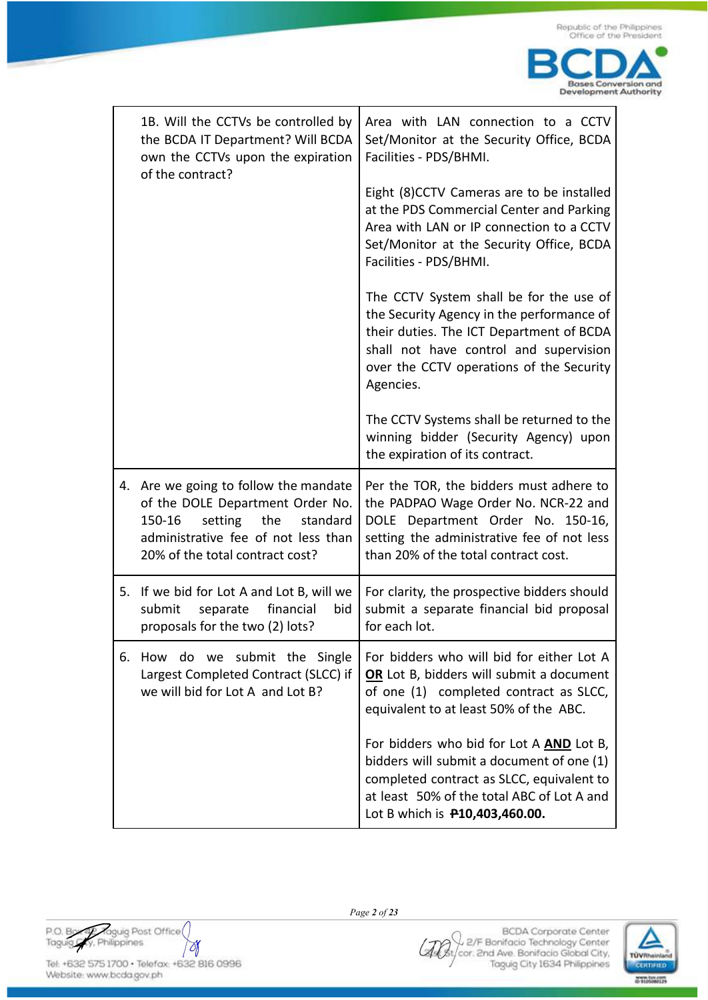| 1B. Will the CCTVs be controlled by<br>the BCDA IT Department? Will BCDA<br>own the CCTVs upon the expiration<br>of the contract?                                                           | Area with LAN connection to a CCTV<br>Set/Monitor at the Security Office, BCDA<br>Facilities - PDS/BHMI.                                                                                                                            |
|---------------------------------------------------------------------------------------------------------------------------------------------------------------------------------------------|-------------------------------------------------------------------------------------------------------------------------------------------------------------------------------------------------------------------------------------|
|                                                                                                                                                                                             | Eight (8)CCTV Cameras are to be installed<br>at the PDS Commercial Center and Parking<br>Area with LAN or IP connection to a CCTV<br>Set/Monitor at the Security Office, BCDA<br>Facilities - PDS/BHMI.                             |
|                                                                                                                                                                                             | The CCTV System shall be for the use of<br>the Security Agency in the performance of<br>their duties. The ICT Department of BCDA<br>shall not have control and supervision<br>over the CCTV operations of the Security<br>Agencies. |
|                                                                                                                                                                                             | The CCTV Systems shall be returned to the<br>winning bidder (Security Agency) upon<br>the expiration of its contract.                                                                                                               |
| 4. Are we going to follow the mandate<br>of the DOLE Department Order No.<br>150-16<br>setting<br>the<br>standard<br>administrative fee of not less than<br>20% of the total contract cost? | Per the TOR, the bidders must adhere to<br>the PADPAO Wage Order No. NCR-22 and<br>DOLE Department Order No. 150-16,<br>setting the administrative fee of not less<br>than 20% of the total contract cost.                          |
| 5. If we bid for Lot A and Lot B, will we<br>financial<br>submit<br>separate<br>bid<br>proposals for the two (2) lots?                                                                      | For clarity, the prospective bidders should<br>submit a separate financial bid proposal<br>for each lot.                                                                                                                            |
| do we submit the Single<br>6. How<br>Largest Completed Contract (SLCC) if<br>we will bid for Lot A and Lot B?                                                                               | For bidders who will bid for either Lot A<br>OR Lot B, bidders will submit a document<br>of one (1) completed contract as SLCC,<br>equivalent to at least 50% of the ABC.                                                           |
|                                                                                                                                                                                             | For bidders who bid for Lot A AND Lot B,<br>bidders will submit a document of one (1)<br>completed contract as SLCC, equivalent to<br>at least 50% of the total ABC of Lot A and<br>Lot B which is <b>P10,403,460.00.</b>           |

P.O. Box Praguig Post Office  $\forall$ 

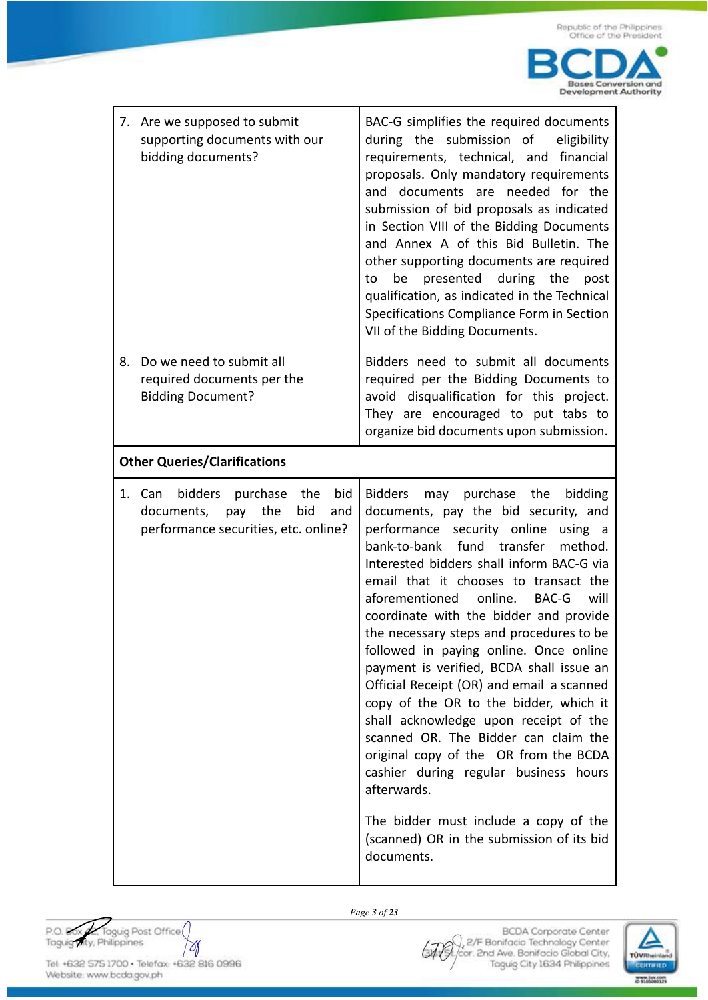| 7. Are we supposed to submit<br>supporting documents with our<br>bidding documents?                                  | BAC-G simplifies the required documents<br>during the submission of<br>eligibility<br>requirements, technical, and financial<br>proposals. Only mandatory requirements<br>and documents are needed for the<br>submission of bid proposals as indicated<br>in Section VIII of the Bidding Documents<br>and Annex A of this Bid Bulletin. The<br>other supporting documents are required<br>during the<br>presented<br>be<br>post<br>to<br>qualification, as indicated in the Technical<br>Specifications Compliance Form in Section<br>VII of the Bidding Documents.                                                                                                                                                                                                                                                                                                   |
|----------------------------------------------------------------------------------------------------------------------|-----------------------------------------------------------------------------------------------------------------------------------------------------------------------------------------------------------------------------------------------------------------------------------------------------------------------------------------------------------------------------------------------------------------------------------------------------------------------------------------------------------------------------------------------------------------------------------------------------------------------------------------------------------------------------------------------------------------------------------------------------------------------------------------------------------------------------------------------------------------------|
| Do we need to submit all<br>8.<br>required documents per the<br><b>Bidding Document?</b>                             | Bidders need to submit all documents<br>required per the Bidding Documents to<br>avoid disqualification for this project.<br>They are encouraged to put tabs to<br>organize bid documents upon submission.                                                                                                                                                                                                                                                                                                                                                                                                                                                                                                                                                                                                                                                            |
| <b>Other Queries/Clarifications</b>                                                                                  |                                                                                                                                                                                                                                                                                                                                                                                                                                                                                                                                                                                                                                                                                                                                                                                                                                                                       |
| 1. Can bidders purchase the<br>bid<br>the<br>bid<br>documents,<br>pay<br>and<br>performance securities, etc. online? | may purchase the<br><b>Bidders</b><br>bidding<br>documents, pay the bid security, and<br>performance security online<br>using a<br>bank-to-bank fund transfer<br>method.<br>Interested bidders shall inform BAC-G via<br>email that it chooses to transact the<br>online.<br>aforementioned<br>BAC-G<br>will<br>coordinate with the bidder and provide<br>the necessary steps and procedures to be<br>followed in paying online. Once online<br>payment is verified, BCDA shall issue an<br>Official Receipt (OR) and email a scanned<br>copy of the OR to the bidder, which it<br>shall acknowledge upon receipt of the<br>scanned OR. The Bidder can claim the<br>original copy of the OR from the BCDA<br>cashier during regular business hours<br>afterwards.<br>The bidder must include a copy of the<br>(scanned) OR in the submission of its bid<br>documents. |

P.O. Box A. Taguig Post Office  $\forall$ 



Tel: +632 575 1700 · Telefax: +632 816 0996 Website: www.bcda.gov.ph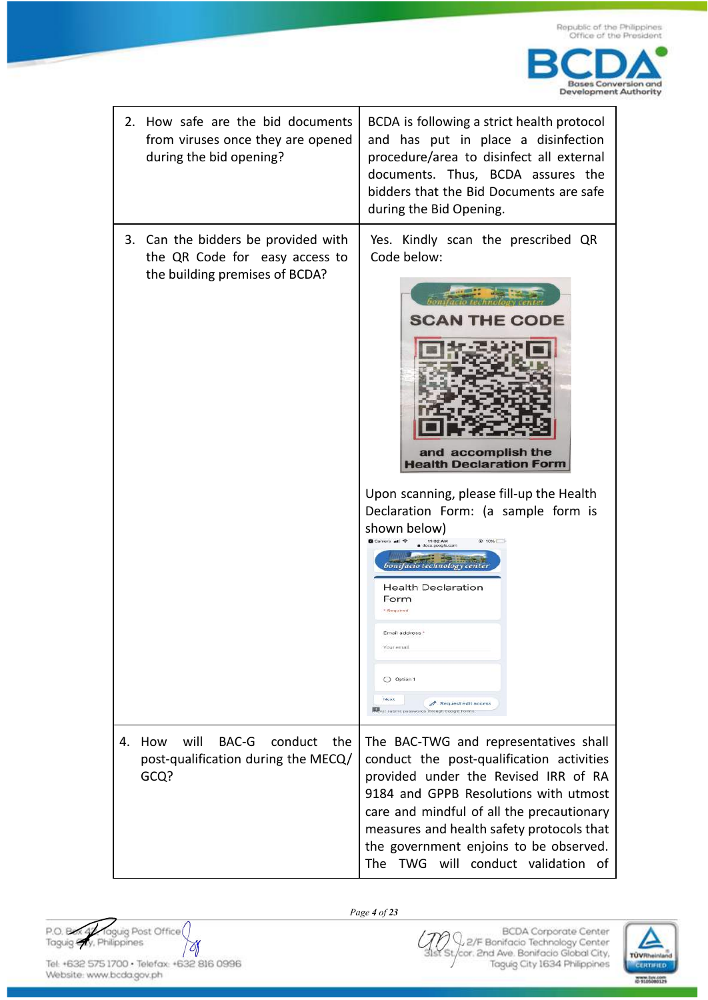

| 2. | How safe are the bid documents<br>from viruses once they are opened<br>during the bid opening?          | BCDA is following a strict health protocol<br>and has put in place a disinfection<br>procedure/area to disinfect all external<br>documents. Thus, BCDA assures the<br>bidders that the Bid Documents are safe<br>during the Bid Opening.                                                                                                                                                                                                                                        |
|----|---------------------------------------------------------------------------------------------------------|---------------------------------------------------------------------------------------------------------------------------------------------------------------------------------------------------------------------------------------------------------------------------------------------------------------------------------------------------------------------------------------------------------------------------------------------------------------------------------|
|    | 3. Can the bidders be provided with<br>the QR Code for easy access to<br>the building premises of BCDA? | Yes. Kindly scan the prescribed QR<br>Code below:<br><b>SCAN THE CODE</b><br>and accomplish the<br><b>Health Declaration Form</b><br>Upon scanning, please fill-up the Health<br>Declaration Form: (a sample form is<br>shown below)<br><b>@ 10%E</b><br>11:02 AM<br>Sonifacio technology cente<br><b>Health Declaration</b><br>Form<br>* Required<br>ELLIGII SOQLASS<br>Your email<br>O Option 1<br>Next<br>Request edit access<br>Never submit pesswords through Google Forms |
| 4. | will<br>BAC-G<br>conduct<br>the<br>How<br>post-qualification during the MECQ/<br>GCQ?                   | The BAC-TWG and representatives shall<br>conduct the post-qualification activities<br>provided under the Revised IRR of RA<br>9184 and GPPB Resolutions with utmost<br>care and mindful of all the precautionary<br>measures and health safety protocols that<br>the government enjoins to be observed.<br>The TWG will conduct validation<br>of                                                                                                                                |

P.O. Box of Taguig Post Office  $\forall$ 

Website: www.bcda.gov.ph

*Page 4 of 23*

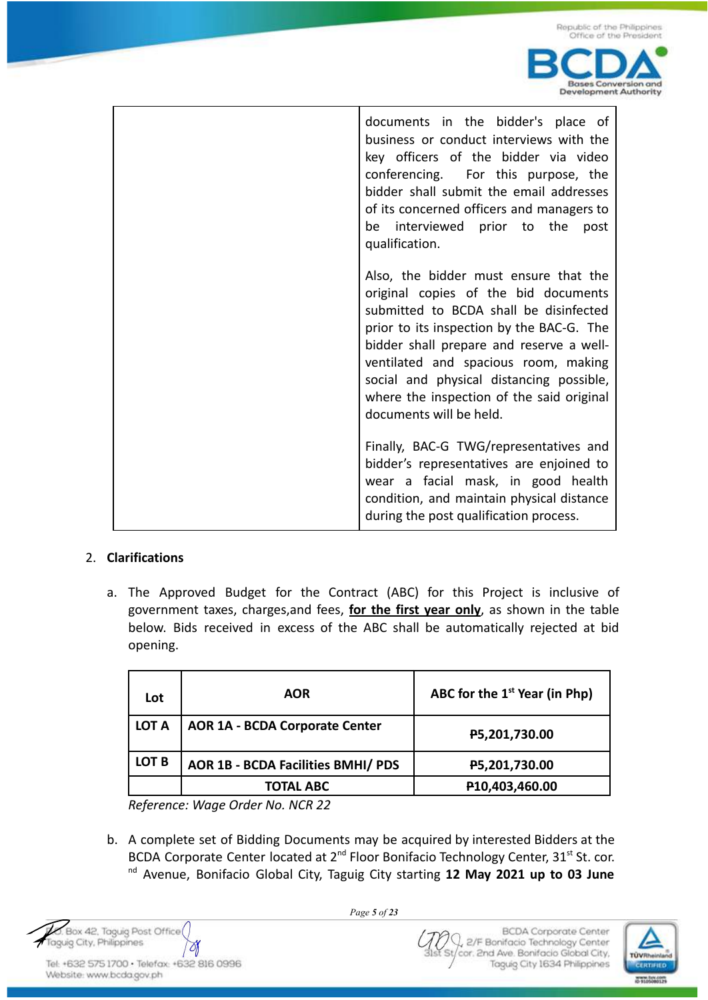

| documents in the bidder's place of<br>business or conduct interviews with the<br>key officers of the bidder via video<br>conferencing. For this purpose, the<br>bidder shall submit the email addresses<br>of its concerned officers and managers to<br>be interviewed prior to the<br>post<br>qualification.                                                                |
|------------------------------------------------------------------------------------------------------------------------------------------------------------------------------------------------------------------------------------------------------------------------------------------------------------------------------------------------------------------------------|
| Also, the bidder must ensure that the<br>original copies of the bid documents<br>submitted to BCDA shall be disinfected<br>prior to its inspection by the BAC-G. The<br>bidder shall prepare and reserve a well-<br>ventilated and spacious room, making<br>social and physical distancing possible,<br>where the inspection of the said original<br>documents will be held. |
| Finally, BAC-G TWG/representatives and<br>bidder's representatives are enjoined to<br>wear a facial mask, in good health<br>condition, and maintain physical distance<br>during the post qualification process.                                                                                                                                                              |

## 2. **Clarifications**

a. The Approved Budget for the Contract (ABC) for this Project is inclusive of government taxes, charges,and fees, **for the first year only**, as shown in the table below. Bids received in excess of the ABC shall be automatically rejected at bid opening.

| Lot          | <b>AOR</b>                                | ABC for the $1st$ Year (in Php) |
|--------------|-------------------------------------------|---------------------------------|
| <b>LOT A</b> | <b>AOR 1A - BCDA Corporate Center</b>     | P5,201,730.00                   |
| LOT B        | <b>AOR 1B - BCDA Facilities BMHI/ PDS</b> | P5,201,730.00                   |
|              | <b>TOTAL ABC</b>                          | P10,403,460.00                  |

*Reference: Wage Order No. NCR 22*

b. A complete set of Bidding Documents may be acquired by interested Bidders at the BCDA Corporate Center located at 2<sup>nd</sup> Floor Bonifacio Technology Center, 31<sup>st</sup> St. cor. nd Avenue, Bonifacio Global City, Taguig City starting **12 May 2021 up to 03 June**

Box 42, Taguig Post Office Taguig City, Philippines Ŋ

Tel: +632 575 1700 · Telefax: +632 816 0996 Website: www.bcda.gov.ph

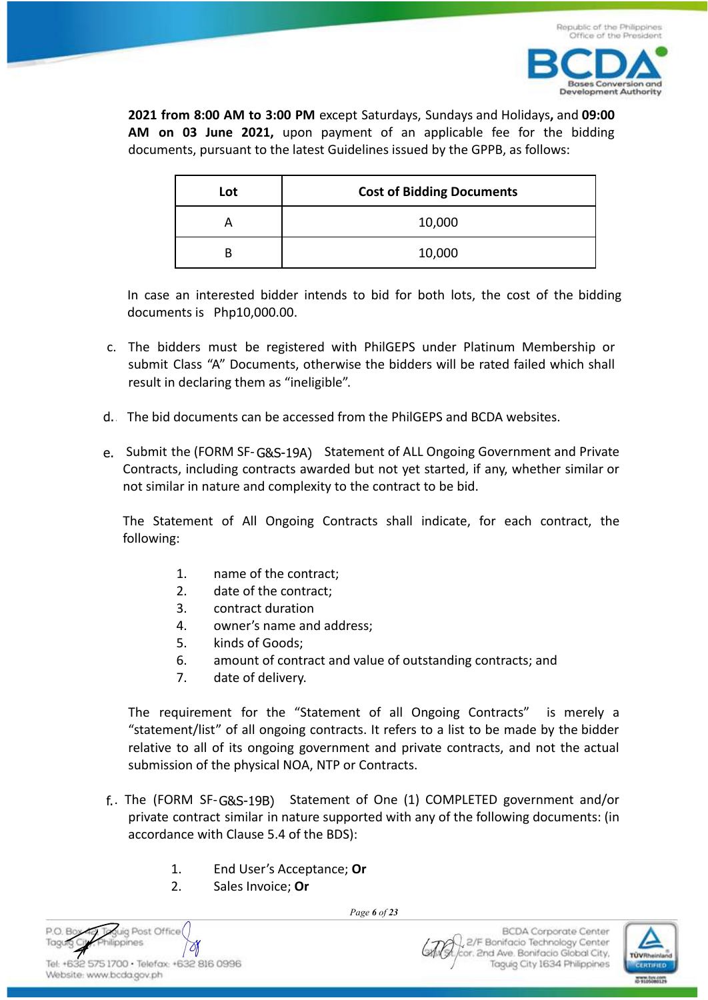

**2021 from 8:00 AM to 3:00 PM** except Saturdays, Sundays and Holidays**,** and **09:00 AM on 03 June 2021,** upon payment of an applicable fee for the bidding documents, pursuant to the latest Guidelines issued by the GPPB, as follows:

| Lot | <b>Cost of Bidding Documents</b> |
|-----|----------------------------------|
|     | 10,000                           |
|     | 10,000                           |

In case an interested bidder intends to bid for both lots, the cost of the bidding documents is Php10,000.00.

- c. The bidders must be registered with PhilGEPS under Platinum Membership or submit Class "A" Documents, otherwise the bidders will be rated failed which shall result in declaring them as "ineligible".
- e. The bid documents can be accessed from the PhilGEPS and BCDA websites.
- e. Submit the (FORM SF-G&S-19A) Statement of ALL Ongoing Government and Private Contracts, including contracts awarded but not yet started, if any, whether similar or not similar in nature and complexity to the contract to be bid.

The Statement of All Ongoing Contracts shall indicate, for each contract, the following:

- 1. name of the contract;
- 2. date of the contract;
- 3. contract duration
- 4. owner's name and address;
- 5. kinds of Goods;
- 6. amount of contract and value of outstanding contracts; and
- 7. date of delivery.

The requirement for the "Statement of all Ongoing Contracts" is merely a "statement/list" of all ongoing contracts. It refers to a list to be made by the bidder relative to all of its ongoing government and private contracts, and not the actual submission of the physical NOA, NTP or Contracts. d. The bid documents can be<br>
e. Submit the (FORM SF-G&<br>
Contracts, including contra<br>
not similar in nature and c<br>
The Statement of All O<br>
following:<br>
1. name of th<br>
2. date of the<br>
3. contract di<br>
4. owner's na<br>
5. kinds o

- f. The (FORM SF-G&S-19B) Statement of One (1) COMPLETED government and/or private contract similar in nature supported with any of the following documents: (in accordance with Clause 5.4 of the BDS):
	- 1. End User's Acceptance; **Or**
	- 2. Sales Invoice; **Or**

Taquio Post Office **PO Box** Taquia ilippines O) Tel: +632 575 1700 · Telefax: +632 816 0996

Website: www.bcda.gov.ph

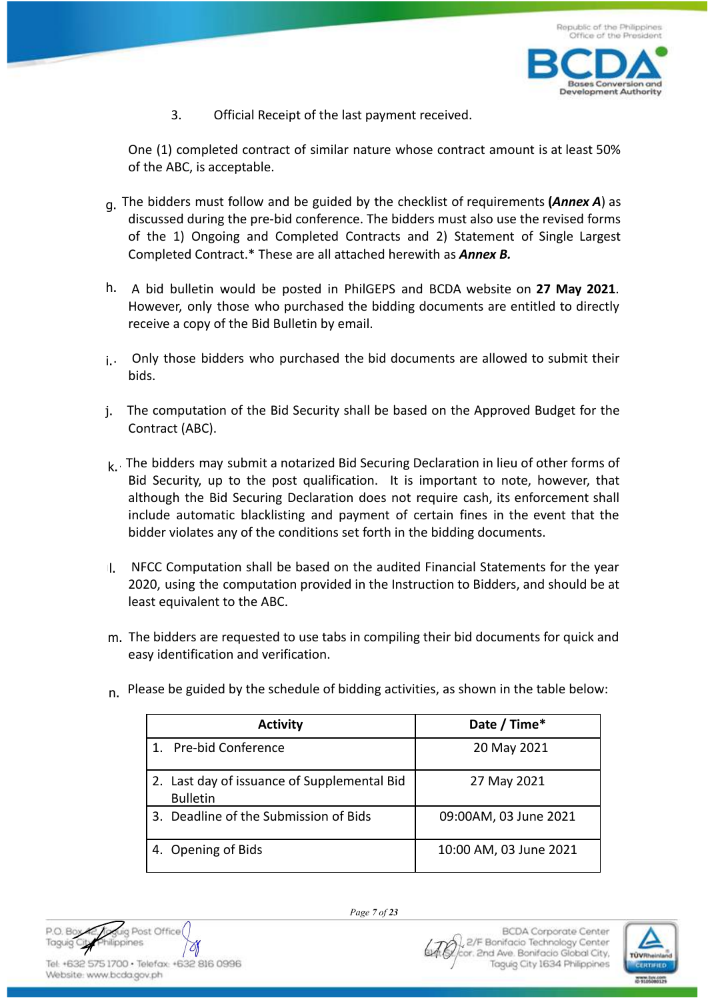

3. Official Receipt of the last payment received.

One (1) completed contract of similar nature whose contract amount is at least 50% of the ABC, is acceptable.

- g. The bidders must follow and be guided by the checklist of requirements (Annex A) as discussed during the pre-bid conference. The bidders must also use the revised forms of the 1) Ongoing and Completed Contracts and 2) Statement of Single Largest Completed Contract.\* These are all attached herewith as *Annex B.*
- h. A bid bulletin would be posted in PhilGEPS and BCDA website on 27 May 2021. However, only those who purchased the bidding documents are entitled to directly receive a copy of the Bid Bulletin by email.
- $i.$  Only those bidders who purchased the bid documents are allowed to submit their bids.
- l. The computation of the Bid Security shall be based on the Approved Budget for the Contract (ABC).
- $k<sub>k</sub>$ . The bidders may submit a notarized Bid Securing Declaration in lieu of other forms of Bid Security, up to the post qualification. It is important to note, however, that although the Bid Securing Declaration does not require cash, its enforcement shall include automatic blacklisting and payment of certain fines in the event that the bidder violates any of the conditions set forth in the bidding documents. i.<br>j.<br>k.<br>l.
- 1. NFCC Computation shall be based on the audited Financial Statements for the year 2020, using the computation provided in the Instruction to Bidders, and should be at least equivalent to the ABC.
- m. The bidders are requested to use tabs in compiling their bid documents for quick and easy identification and verification.

| <b>Activity</b>                                                | Date / Time*           |
|----------------------------------------------------------------|------------------------|
| 1. Pre-bid Conference                                          | 20 May 2021            |
| 2. Last day of issuance of Supplemental Bid<br><b>Bulletin</b> | 27 May 2021            |
| 3. Deadline of the Submission of Bids                          | 09:00AM, 03 June 2021  |
| 4. Opening of Bids                                             | 10:00 AM, 03 June 2021 |

n. Please be guided by the schedule of bidding activities, as shown in the table below:

Post Office PO BO nes A O)

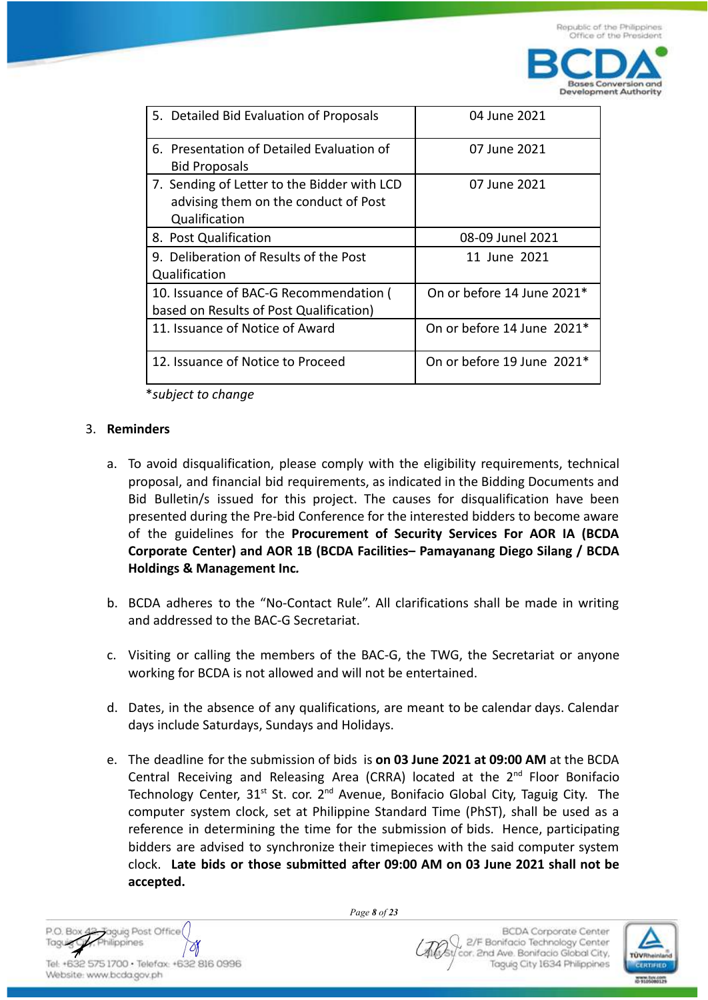**Bases Conversion and Development Authority** 

| 5. Detailed Bid Evaluation of Proposals                | 04 June 2021               |  |
|--------------------------------------------------------|----------------------------|--|
| 6. Presentation of Detailed Evaluation of              | 07 June 2021               |  |
| <b>Bid Proposals</b>                                   |                            |  |
| 7. Sending of Letter to the Bidder with LCD            | 07 June 2021               |  |
| advising them on the conduct of Post                   |                            |  |
| Qualification                                          |                            |  |
| 8. Post Qualification                                  | 08-09 Junel 2021           |  |
| 9. Deliberation of Results of the Post<br>11 June 2021 |                            |  |
| Qualification                                          |                            |  |
| 10. Issuance of BAC-G Recommendation (                 | On or before 14 June 2021* |  |
| based on Results of Post Qualification)                |                            |  |
| 11. Issuance of Notice of Award                        | On or before 14 June 2021* |  |
|                                                        |                            |  |
| 12. Issuance of Notice to Proceed                      | On or before 19 June 2021* |  |
|                                                        |                            |  |

\**subject to change*

### 3. **Reminders**

- a. To avoid disqualification, please comply with the eligibility requirements, technical proposal, and financial bid requirements, as indicated in the Bidding Documents and Bid Bulletin/s issued for this project. The causes for disqualification have been presented during the Pre-bid Conference for the interested bidders to become aware of the guidelines for the **Procurement of Security Services For AOR IA (BCDA Corporate Center) and AOR 1B (BCDA Facilities– Pamayanang Diego Silang / BCDA Holdings & Management Inc***.*
- b. BCDA adheres to the "No-Contact Rule". All clarifications shall be made in writing and addressed to the BAC-G Secretariat.
- c. Visiting or calling the members of the BAC-G, the TWG, the Secretariat or anyone working for BCDA is not allowed and will not be entertained.
- d. Dates, in the absence of any qualifications, are meant to be calendar days. Calendar days include Saturdays, Sundays and Holidays.
- e. The deadline for the submission of bids is **on 03 June 2021 at 09:00 AM** at the BCDA Central Receiving and Releasing Area (CRRA) located at the  $2<sup>nd</sup>$  Floor Bonifacio Technology Center,  $31^{st}$  St. cor.  $2^{nd}$  Avenue, Bonifacio Global City, Taguig City. The computer system clock, set at Philippine Standard Time (PhST), shall be used as a reference in determining the time for the submission of bids. Hence, participating bidders are advised to synchronize their timepieces with the said computer system clock. **Late bids or those submitted after 09:00 AM on 03 June 2021 shall not be accepted.**

*Page 8 of 23*

**BCDA Corporate Center** 2/F Bonifacio Technology Center cor. 2nd Ave. Bonifacio Global City, Taguig City 1634 Philippines

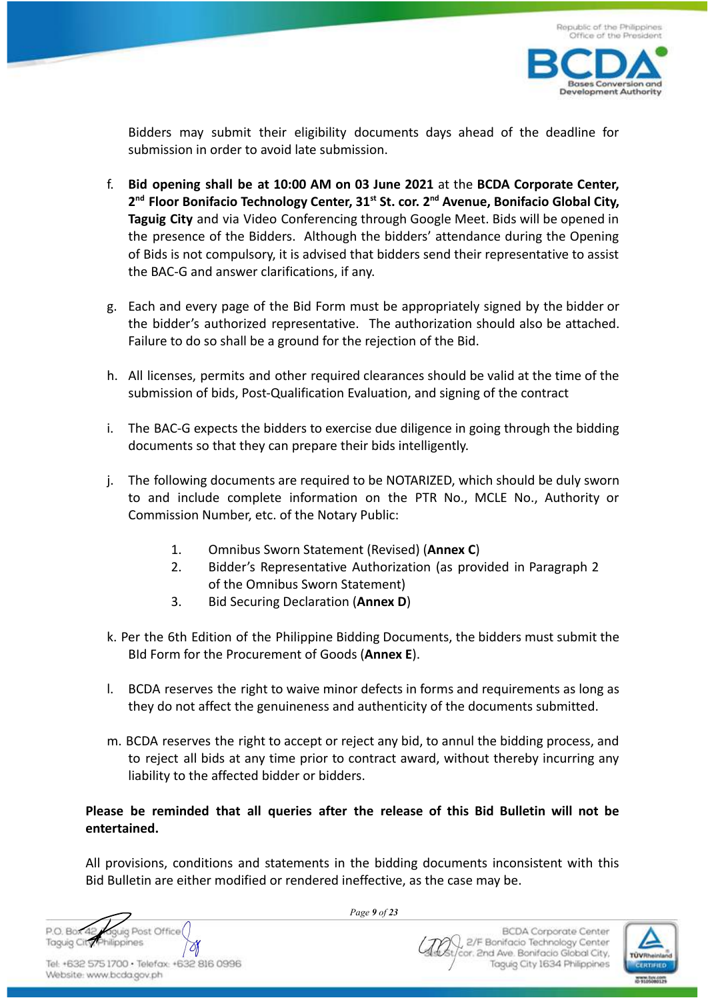

Bidders may submit their eligibility documents days ahead of the deadline for submission in order to avoid late submission.

- f. **Bid opening shall be at 10:00 AM on 03 June 2021** at the **BCDA Corporate Center, 2nd Floor Bonifacio Technology Center, 31st St. cor. 2nd Avenue, Bonifacio Global City, Taguig City** and via Video Conferencing through Google Meet. Bids will be opened in the presence of the Bidders. Although the bidders' attendance during the Opening of Bids is not compulsory, it is advised that bidders send their representative to assist the BAC-G and answer clarifications, if any.
- g. Each and every page of the Bid Form must be appropriately signed by the bidder or the bidder's authorized representative. The authorization should also be attached. Failure to do so shall be a ground for the rejection of the Bid.
- h. All licenses, permits and other required clearances should be valid at the time of the submission of bids, Post-Qualification Evaluation, and signing of the contract
- i. The BAC-G expects the bidders to exercise due diligence in going through the bidding documents so that they can prepare their bids intelligently.
- j. The following documents are required to be NOTARIZED, which should be duly sworn to and include complete information on the PTR No., MCLE No., Authority or Commission Number, etc. of the Notary Public:
	- 1. Omnibus Sworn Statement (Revised) (**Annex C**)
	- 2. Bidder's Representative Authorization (as provided in Paragraph 2 of the Omnibus Sworn Statement)
	- 3. Bid Securing Declaration (**Annex D**)
- k. Per the 6th Edition of the Philippine Bidding Documents, the bidders must submit the BId Form for the Procurement of Goods (**Annex E**).
- l. BCDA reserves the right to waive minor defects in forms and requirements as long as they do not affect the genuineness and authenticity of the documents submitted.
- m. BCDA reserves the right to accept or reject any bid, to annul the bidding process, and to reject all bids at any time prior to contract award, without thereby incurring any liability to the affected bidder or bidders.

## **Please be reminded that all queries after the release of this Bid Bulletin will not be entertained.**

All provisions, conditions and statements in the bidding documents inconsistent with this Bid Bulletin are either modified or rendered ineffective, as the case may be.



*Page 9 of 23*

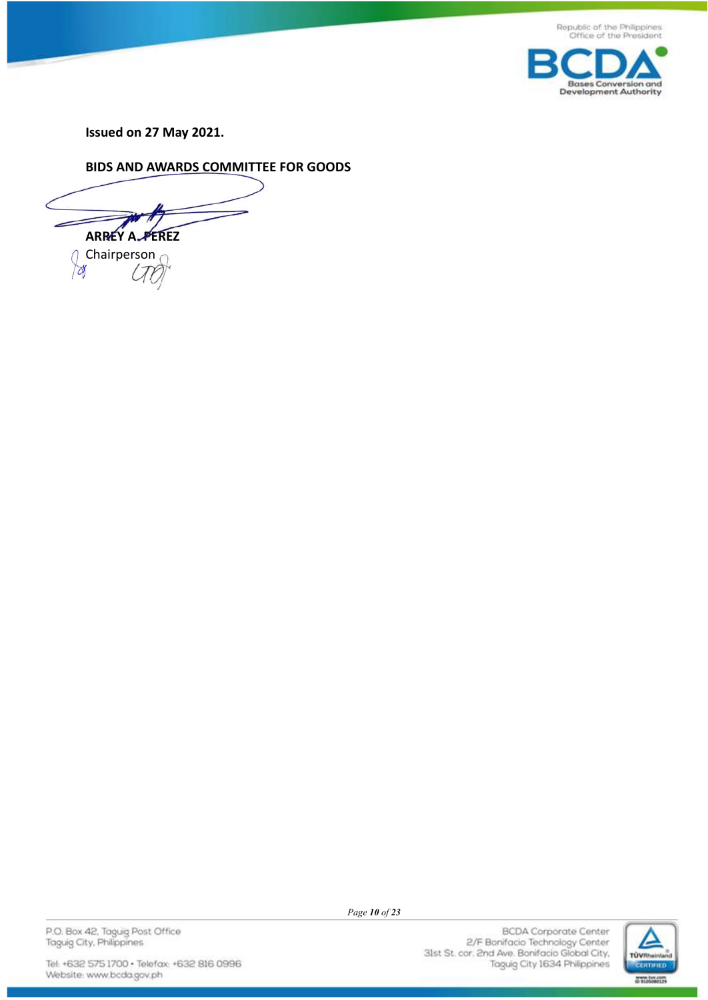



**Issued on 27 May 2021.**

**BIDS AND AWARDS COMMITTEE FOR GOODS**

**ARREY A. PEREZ Chairperson** 

 $\triangledown$ 

P.O. Box 42, Taguig Post Office<br>Taguig City, Philippines

Tel: +632 575 1700 · Telefax: +632 816 0996 Website: www.bcda.gov.ph

*Page 10 of 23*

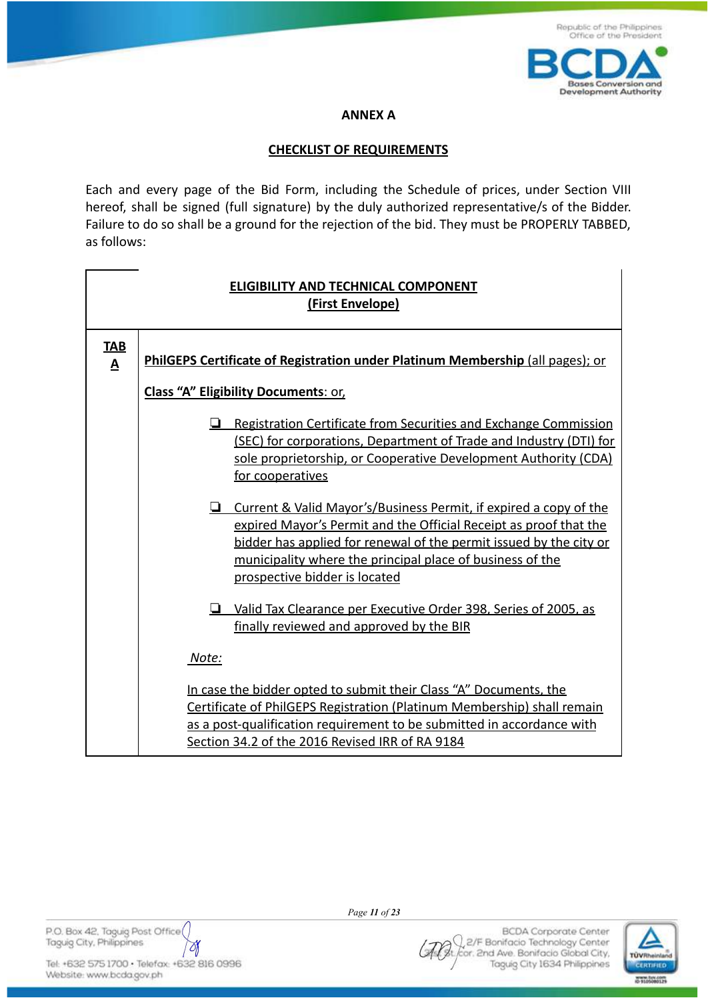

### **ANNEX A**

### **CHECKLIST OF REQUIREMENTS**

Each and every page of the Bid Form, including the Schedule of prices, under Section VIII hereof, shall be signed (full signature) by the duly authorized representative/s of the Bidder. Failure to do so shall be a ground for the rejection of the bid. They must be PROPERLY TABBED, as follows:

| <b>ELIGIBILITY AND TECHNICAL COMPONENT</b><br>(First Envelope) |                                                                                                                                                                                                                                                                                                            |  |
|----------------------------------------------------------------|------------------------------------------------------------------------------------------------------------------------------------------------------------------------------------------------------------------------------------------------------------------------------------------------------------|--|
| <b>TAB</b><br>$\overline{\mathbf{A}}$                          | PhilGEPS Certificate of Registration under Platinum Membership (all pages); or                                                                                                                                                                                                                             |  |
|                                                                | <b>Class "A" Eligibility Documents: or,</b>                                                                                                                                                                                                                                                                |  |
|                                                                | $\Box$ Registration Certificate from Securities and Exchange Commission<br>(SEC) for corporations, Department of Trade and Industry (DTI) for<br>sole proprietorship, or Cooperative Development Authority (CDA)<br>for cooperatives                                                                       |  |
|                                                                | Current & Valid Mayor's/Business Permit, if expired a copy of the<br>expired Mayor's Permit and the Official Receipt as proof that the<br>bidder has applied for renewal of the permit issued by the city or<br>municipality where the principal place of business of the<br>prospective bidder is located |  |
|                                                                | Valid Tax Clearance per Executive Order 398, Series of 2005, as<br>ا ب<br>finally reviewed and approved by the BIR                                                                                                                                                                                         |  |
|                                                                | Note:                                                                                                                                                                                                                                                                                                      |  |
|                                                                | In case the bidder opted to submit their Class "A" Documents, the<br>Certificate of PhilGEPS Registration (Platinum Membership) shall remain<br>as a post-qualification requirement to be submitted in accordance with<br>Section 34.2 of the 2016 Revised IRR of RA 9184                                  |  |

P.O. Box 42, Taguig Post Office Taguig City, Philippines

Tel: +632 575 1700 · Telefax: +632 816 0996 Website: www.bcda.gov.ph

M

*Page 11 of 23*

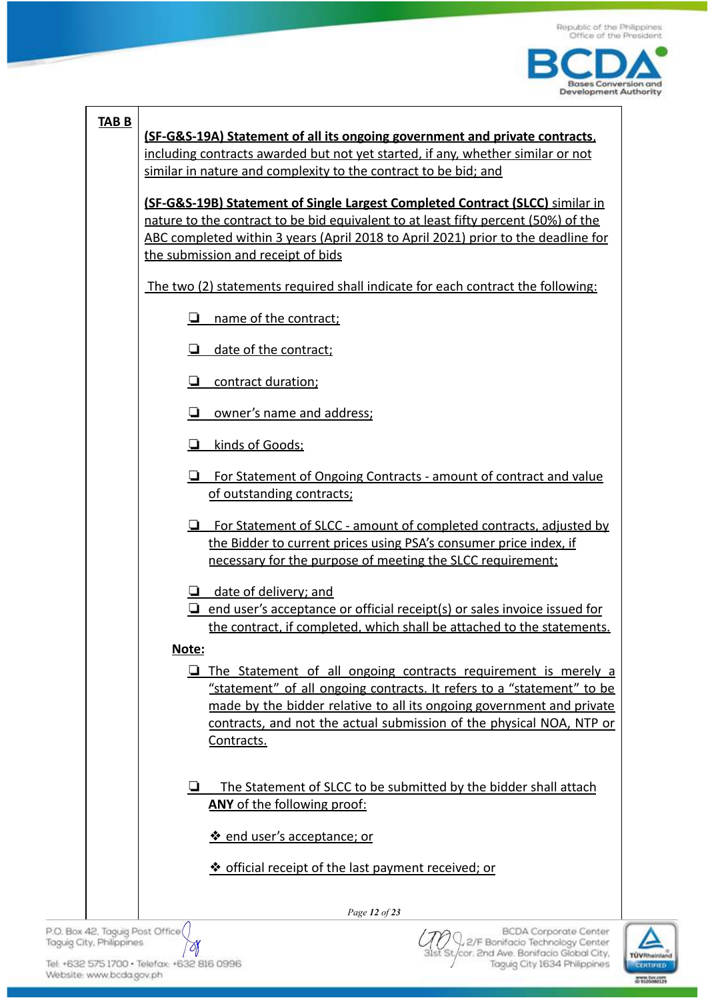



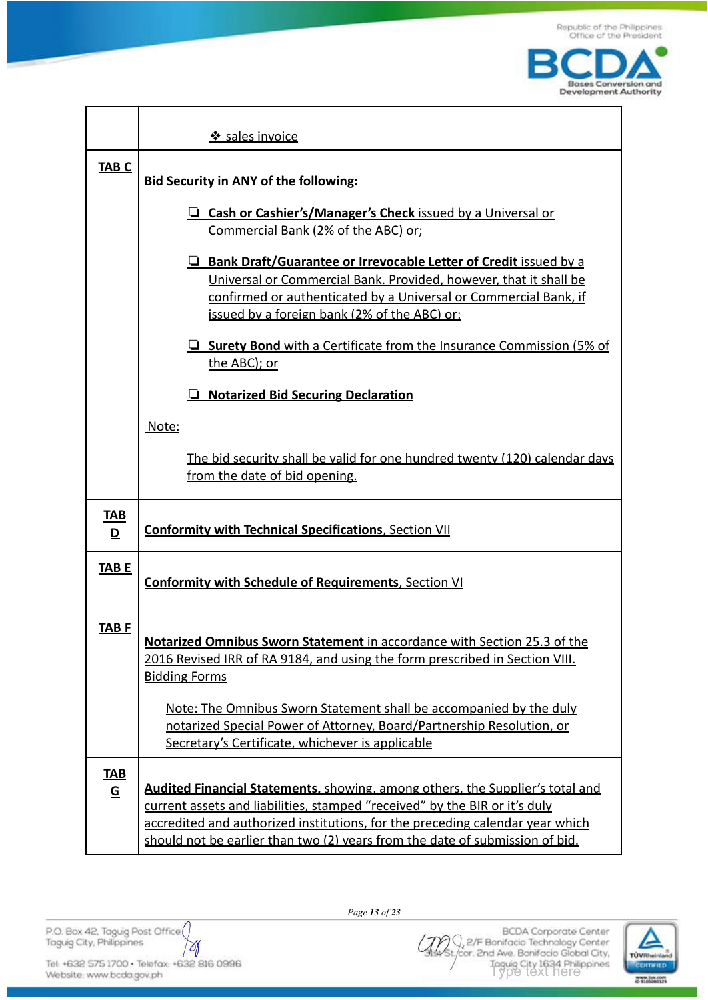

|                                        | Sales invoice                                                                                                                                                                                                                                                                                                                       |
|----------------------------------------|-------------------------------------------------------------------------------------------------------------------------------------------------------------------------------------------------------------------------------------------------------------------------------------------------------------------------------------|
| <b>TAB C</b>                           | <b>Bid Security in ANY of the following:</b>                                                                                                                                                                                                                                                                                        |
|                                        | <b>Q Cash or Cashier's/Manager's Check</b> issued by a Universal or<br>Commercial Bank (2% of the ABC) or;                                                                                                                                                                                                                          |
|                                        | <b>E</b> Bank Draft/Guarantee or Irrevocable Letter of Credit issued by a<br>Universal or Commercial Bank. Provided, however, that it shall be<br>confirmed or authenticated by a Universal or Commercial Bank, if<br>issued by a foreign bank (2% of the ABC) or:                                                                  |
|                                        | $\Box$ Surety Bond with a Certificate from the Insurance Commission (5% of<br>the ABC); or                                                                                                                                                                                                                                          |
|                                        | <b>Notarized Bid Securing Declaration</b>                                                                                                                                                                                                                                                                                           |
|                                        | Note:                                                                                                                                                                                                                                                                                                                               |
|                                        | The bid security shall be valid for one hundred twenty (120) calendar days<br>from the date of bid opening.                                                                                                                                                                                                                         |
| <u>TAB</u><br>$\overline{\mathbf{D}}$  | <b>Conformity with Technical Specifications, Section VII</b>                                                                                                                                                                                                                                                                        |
| <b>TABE</b>                            | <b>Conformity with Schedule of Requirements, Section VI</b>                                                                                                                                                                                                                                                                         |
| <b>TABF</b>                            | Notarized Omnibus Sworn Statement in accordance with Section 25.3 of the<br>2016 Revised IRR of RA 9184, and using the form prescribed in Section VIII.<br><b>Bidding Forms</b>                                                                                                                                                     |
|                                        | Note: The Omnibus Sworn Statement shall be accompanied by the duly<br>notarized Special Power of Attorney, Board/Partnership Resolution, or<br>Secretary's Certificate, whichever is applicable                                                                                                                                     |
| <b>TAB</b><br>$\underline{\mathsf{G}}$ | <b>Audited Financial Statements, showing, among others, the Supplier's total and</b><br>current assets and liabilities, stamped "received" by the BIR or it's duly<br>accredited and authorized institutions, for the preceding calendar year which<br>should not be earlier than two (2) years from the date of submission of bid. |

P.O. Box 42, Taguig Post Office

Tel: +632 575 1700 · Telefax: +632 816 0996 Website: www.bcda.gov.ph

 $\forall$ 



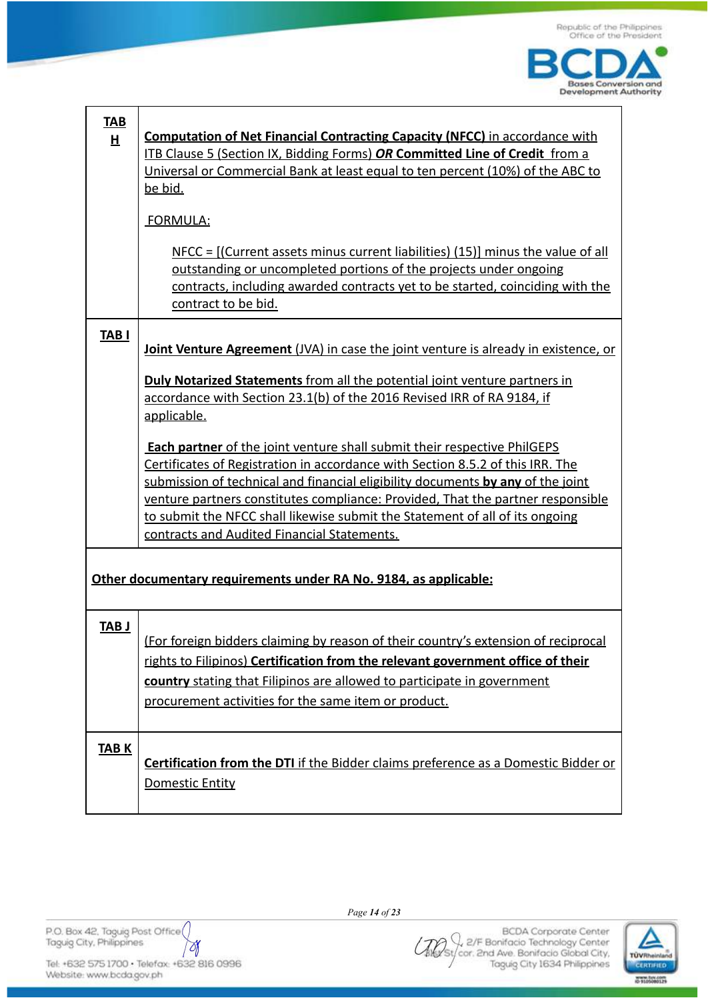

| <b>TAB</b><br>H | <b>Computation of Net Financial Contracting Capacity (NFCC)</b> in accordance with  |
|-----------------|-------------------------------------------------------------------------------------|
|                 | ITB Clause 5 (Section IX, Bidding Forms) OR Committed Line of Credit from a         |
|                 | Universal or Commercial Bank at least equal to ten percent (10%) of the ABC to      |
|                 | be bid.                                                                             |
|                 | FORMULA:                                                                            |
|                 | $NFCC = [(Current assets minus current liabilities) (15)] minus the value of all$   |
|                 | outstanding or uncompleted portions of the projects under ongoing                   |
|                 | contracts, including awarded contracts yet to be started, coinciding with the       |
|                 | contract to be bid.                                                                 |
|                 |                                                                                     |
| <b>TABI</b>     |                                                                                     |
|                 | Joint Venture Agreement (JVA) in case the joint venture is already in existence, or |
|                 | <b>Duly Notarized Statements</b> from all the potential joint venture partners in   |
|                 | accordance with Section 23.1(b) of the 2016 Revised IRR of RA 9184, if              |
|                 | applicable.                                                                         |
|                 |                                                                                     |
|                 | <b>Each partner</b> of the joint venture shall submit their respective PhilGEPS     |
|                 | Certificates of Registration in accordance with Section 8.5.2 of this IRR. The      |
|                 | submission of technical and financial eligibility documents by any of the joint     |
|                 | venture partners constitutes compliance: Provided, That the partner responsible     |
|                 | to submit the NFCC shall likewise submit the Statement of all of its ongoing        |
|                 | contracts and Audited Financial Statements.                                         |
|                 |                                                                                     |
|                 | Other documentary requirements under RA No. 9184, as applicable:                    |
|                 |                                                                                     |
| <b>TAB J</b>    |                                                                                     |
|                 | (For foreign bidders claiming by reason of their country's extension of reciprocal  |
|                 | rights to Filipinos) Certification from the relevant government office of their     |
|                 | country stating that Filipinos are allowed to participate in government             |
|                 | procurement activities for the same item or product.                                |
|                 |                                                                                     |
| <b>TABK</b>     |                                                                                     |
|                 | Certification from the DTI if the Bidder claims preference as a Domestic Bidder or  |
|                 | Domestic Entity                                                                     |
|                 |                                                                                     |
|                 |                                                                                     |

P.O. Box 42, Taguig Post Office

Tel: +632 575 1700 · Telefax: +632 816 0996 Website: www.bcda.gov.ph

 $\forall$ 

*Page 14 of 23*



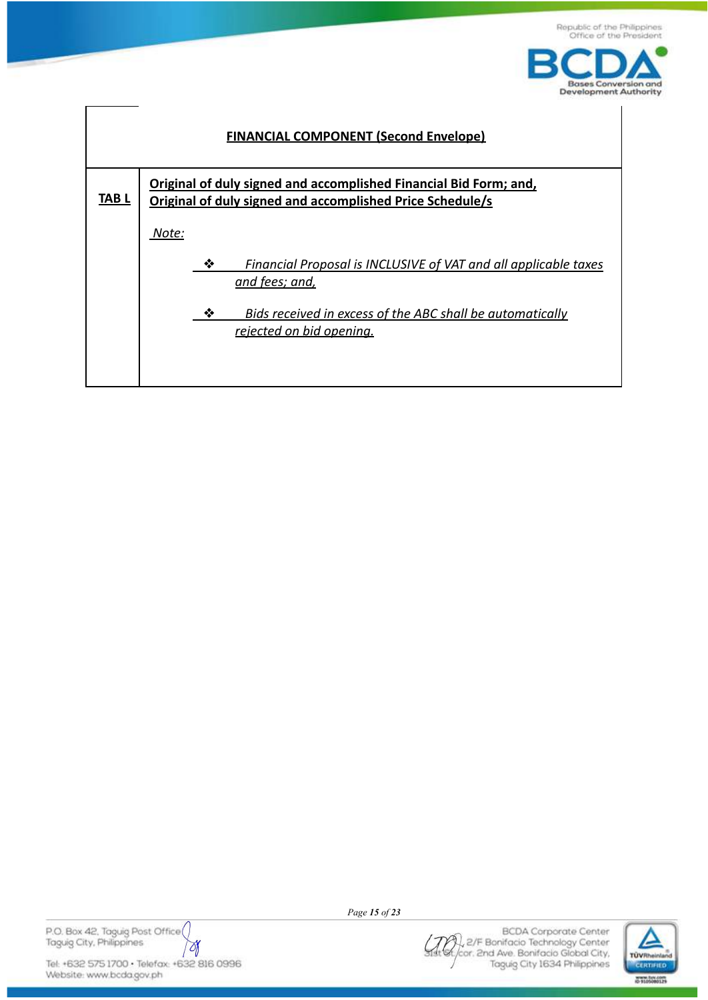





P.O. Box 42, Taguig Post Office M

Tel: +632 575 1700 · Telefax: +632 816 0996 Website: www.bcda.gov.ph

*Page 15 of 23*

**BCDA** Corporate Center 2/F Bonifacio Technology Center k, cor. 2nd Ave. Bonifacio Global City, Taguig City 1634 Philippines

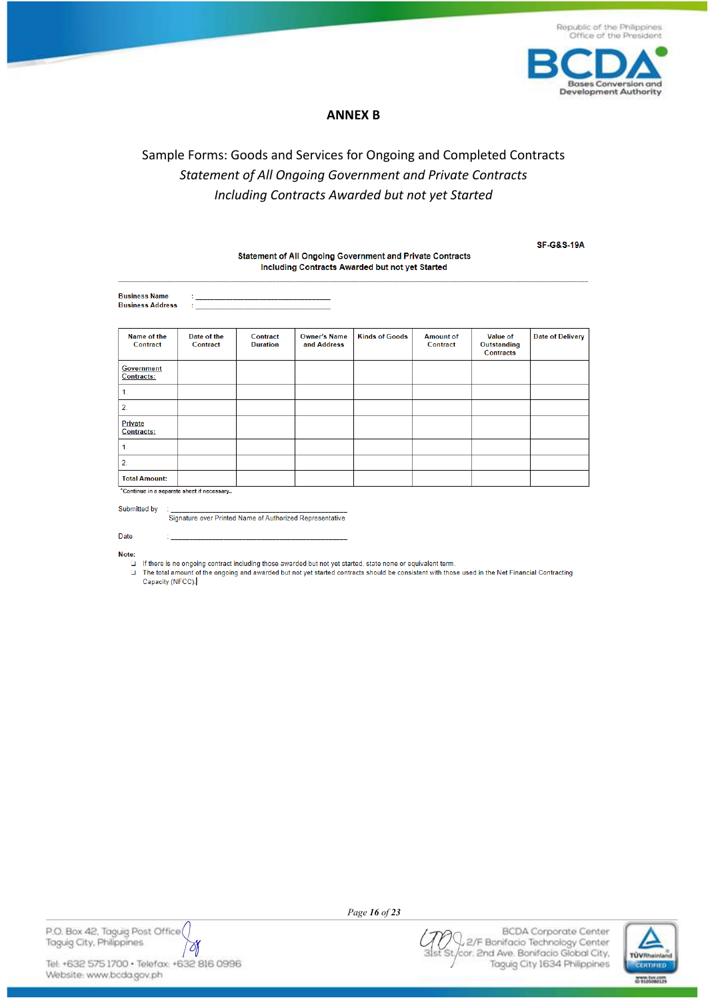

### **ANNEX B**

# Sample Forms: Goods and Services for Ongoing and Completed Contracts Statement of All Ongoing Government and Private Contracts Including Contracts Awarded but not yet Started

Statement of All Ongoing Government and Private Contracts

**SF-G&S-19A** 

| Including Contracts Awarded but not yet Started |                                         |                             |                                    |                       |                              |                                             |                         |
|-------------------------------------------------|-----------------------------------------|-----------------------------|------------------------------------|-----------------------|------------------------------|---------------------------------------------|-------------------------|
| <b>Business Name</b><br><b>Business Address</b> | <u> 1986 - Johann Barbara, martin a</u> |                             |                                    |                       |                              |                                             |                         |
| Name of the<br>Contract                         | Date of the<br>Contract                 | Contract<br><b>Duration</b> | <b>Owner's Name</b><br>and Address | <b>Kinds of Goods</b> | <b>Amount of</b><br>Contract | <b>Value of</b><br>Outstanding<br>Contracts | <b>Date of Delivery</b> |
| <b>Government</b><br>Contracts:                 |                                         |                             |                                    |                       |                              |                                             |                         |
| 1.                                              |                                         |                             |                                    |                       |                              |                                             |                         |
| 2.                                              |                                         |                             |                                    |                       |                              |                                             |                         |
| <b>Private</b><br><b>Contracts:</b>             |                                         |                             |                                    |                       |                              |                                             |                         |
| 1.                                              |                                         |                             |                                    |                       |                              |                                             |                         |
| 2.                                              |                                         |                             |                                    |                       |                              |                                             |                         |
| <b>Total Amount:</b>                            |                                         |                             |                                    |                       |                              |                                             |                         |
| *Continue in a separate sheet if necessary      |                                         |                             |                                    |                       |                              |                                             |                         |

Submitted by

Signature over Printed Name of Authorized Representative

Date

Note:

 $\Box$ If there is no ongoing contract including those awarded but not yet started, state none or equivalent term.

The total amount of the ongoing and awarded but not yet started contracts should be consistent with those used in the Net Financial Contracting<br>Capacity (NFCC).  $\Box$ 



Page 16 of 23

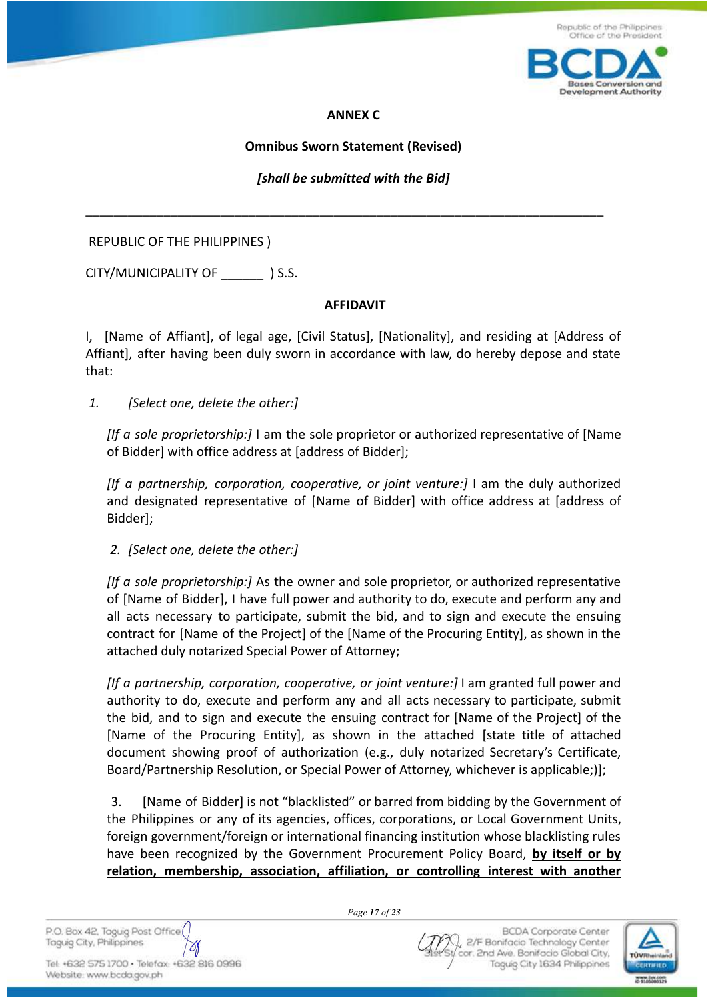



### **ANNEX C**

## **Omnibus Sworn Statement (Revised)**

*[shall be submitted with the Bid]*

\_\_\_\_\_\_\_\_\_\_\_\_\_\_\_\_\_\_\_\_\_\_\_\_\_\_\_\_\_\_\_\_\_\_\_\_\_\_\_\_\_\_\_\_\_\_\_\_\_\_\_\_\_\_\_\_\_\_\_\_\_\_\_\_\_\_\_\_\_\_\_\_\_

REPUBLIC OF THE PHILIPPINES )

CITY/MUNICIPALITY OF \_\_\_\_\_\_ ) S.S.

### **AFFIDAVIT**

I, [Name of Affiant], of legal age, [Civil Status], [Nationality], and residing at [Address of Affiant], after having been duly sworn in accordance with law, do hereby depose and state that:

*1. [Select one, delete the other:]*

*[If a sole proprietorship:]* I am the sole proprietor or authorized representative of [Name of Bidder] with office address at [address of Bidder];

*[If a partnership, corporation, cooperative, or joint venture:]* I am the duly authorized and designated representative of [Name of Bidder] with office address at [address of Bidder];

*2. [Select one, delete the other:]*

*[If a sole proprietorship:]* As the owner and sole proprietor, or authorized representative of [Name of Bidder], I have full power and authority to do, execute and perform any and all acts necessary to participate, submit the bid, and to sign and execute the ensuing contract for [Name of the Project] of the [Name of the Procuring Entity], as shown in the attached duly notarized Special Power of Attorney;

*[If a partnership, corporation, cooperative, or joint venture:]* I am granted full power and authority to do, execute and perform any and all acts necessary to participate, submit the bid, and to sign and execute the ensuing contract for [Name of the Project] of the [Name of the Procuring Entity], as shown in the attached [state title of attached document showing proof of authorization (e.g., duly notarized Secretary's Certificate, Board/Partnership Resolution, or Special Power of Attorney, whichever is applicable;)];

3. [Name of Bidder] is not "blacklisted" or barred from bidding by the Government of the Philippines or any of its agencies, offices, corporations, or Local Government Units, foreign government/foreign or international financing institution whose blacklisting rules have been recognized by the Government Procurement Policy Board, **by itself or by relation, membership, association, affiliation, or controlling interest with another**

*Page 17 of 23*

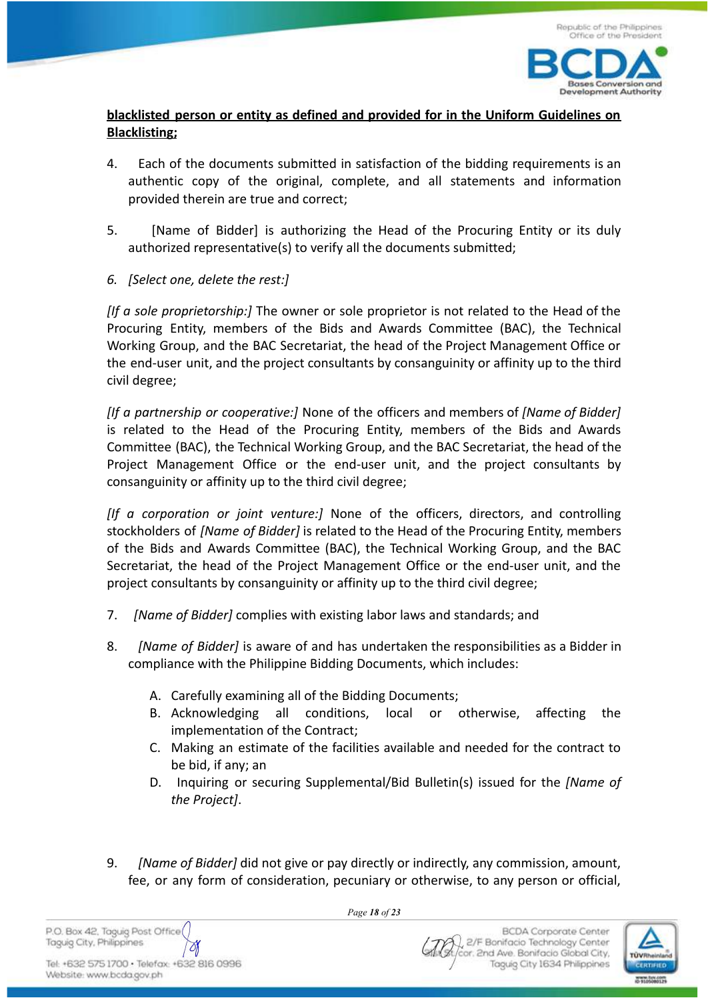

# **blacklisted person or entity as defined and provided for in the Uniform Guidelines on Blacklisting;**

- 4. Each of the documents submitted in satisfaction of the bidding requirements is an authentic copy of the original, complete, and all statements and information provided therein are true and correct;
- 5. [Name of Bidder] is authorizing the Head of the Procuring Entity or its duly authorized representative(s) to verify all the documents submitted;
- *6. [Select one, delete the rest:]*

*[If a sole proprietorship:]* The owner or sole proprietor is not related to the Head of the Procuring Entity, members of the Bids and Awards Committee (BAC), the Technical Working Group, and the BAC Secretariat, the head of the Project Management Office or the end-user unit, and the project consultants by consanguinity or affinity up to the third civil degree;

*[If a partnership or cooperative:]* None of the officers and members of *[Name of Bidder]* is related to the Head of the Procuring Entity, members of the Bids and Awards Committee (BAC), the Technical Working Group, and the BAC Secretariat, the head of the Project Management Office or the end-user unit, and the project consultants by consanguinity or affinity up to the third civil degree;

*[If a corporation or joint venture:]* None of the officers, directors, and controlling stockholders of *[Name of Bidder]* is related to the Head of the Procuring Entity, members of the Bids and Awards Committee (BAC), the Technical Working Group, and the BAC Secretariat, the head of the Project Management Office or the end-user unit, and the project consultants by consanguinity or affinity up to the third civil degree;

- 7. *[Name of Bidder]* complies with existing labor laws and standards; and
- 8. *[Name of Bidder]* is aware of and has undertaken the responsibilities as a Bidder in compliance with the Philippine Bidding Documents, which includes:
	- A. Carefully examining all of the Bidding Documents;
	- B. Acknowledging all conditions, local or otherwise, affecting the implementation of the Contract;
	- C. Making an estimate of the facilities available and needed for the contract to be bid, if any; an
	- D. Inquiring or securing Supplemental/Bid Bulletin(s) issued for the *[Name of the Project]*.
- 9. *[Name of Bidder]* did not give or pay directly or indirectly, any commission, amount, fee, or any form of consideration, pecuniary or otherwise, to any person or official,

*Page 18 of 23*

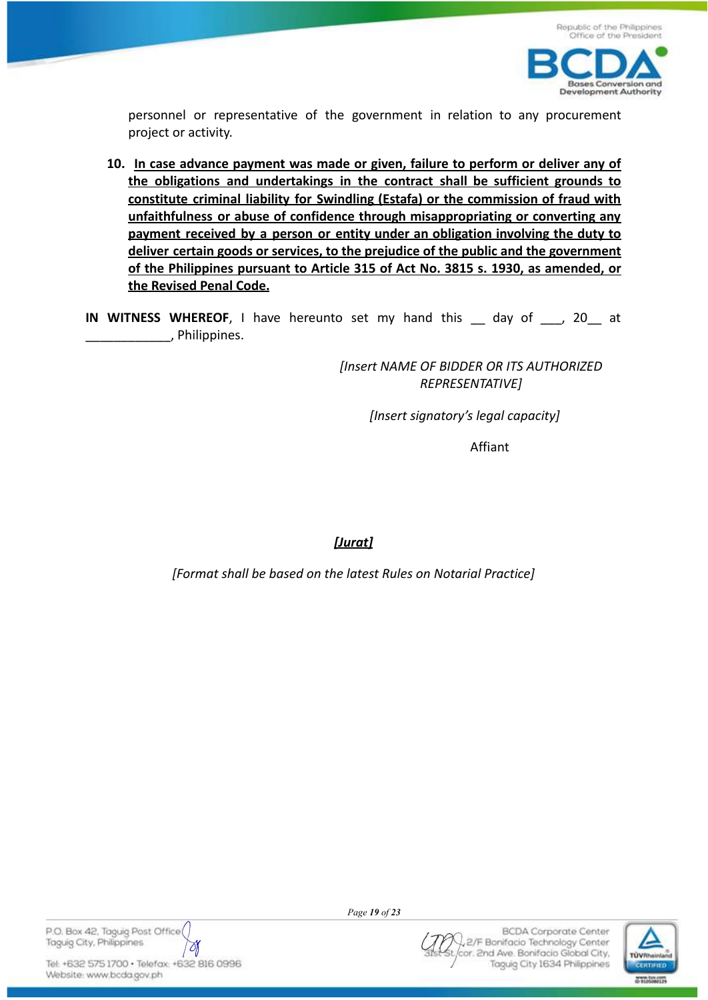

personnel or representative of the government in relation to any procurement project or activity.

- **10. In case advance payment was made or given, failure to perform or deliver any of the obligations and undertakings in the contract shall be sufficient grounds to constitute criminal liability for Swindling (Estafa) or the commission of fraud with unfaithfulness or abuse of confidence through misappropriating or converting any payment received by a person or entity under an obligation involving the duty to deliver certain goods or services, to the prejudice of the public and the government of the Philippines pursuant to Article 315 of Act No. 3815 s. 1930, as amended, or the Revised Penal Code.**
- **IN WITNESS WHEREOF,** I have hereunto set my hand this day of , 20 at \_\_\_\_\_\_\_\_\_\_\_\_, Philippines.

*[Insert NAME OF BIDDER OR ITS AUTHORIZED REPRESENTATIVE]*

*[Insert signatory's legal capacity]*

Affiant

*[Jurat]*

*[Format shall be based on the latest Rules on Notarial Practice]*

P.O. Box 42, Taguig Post Office Taguig City, Philippines Ø

Tel: +632 575 1700 · Telefax: +632 816 0996 Website: www.bcda.gov.ph

*Page 19 of 23*

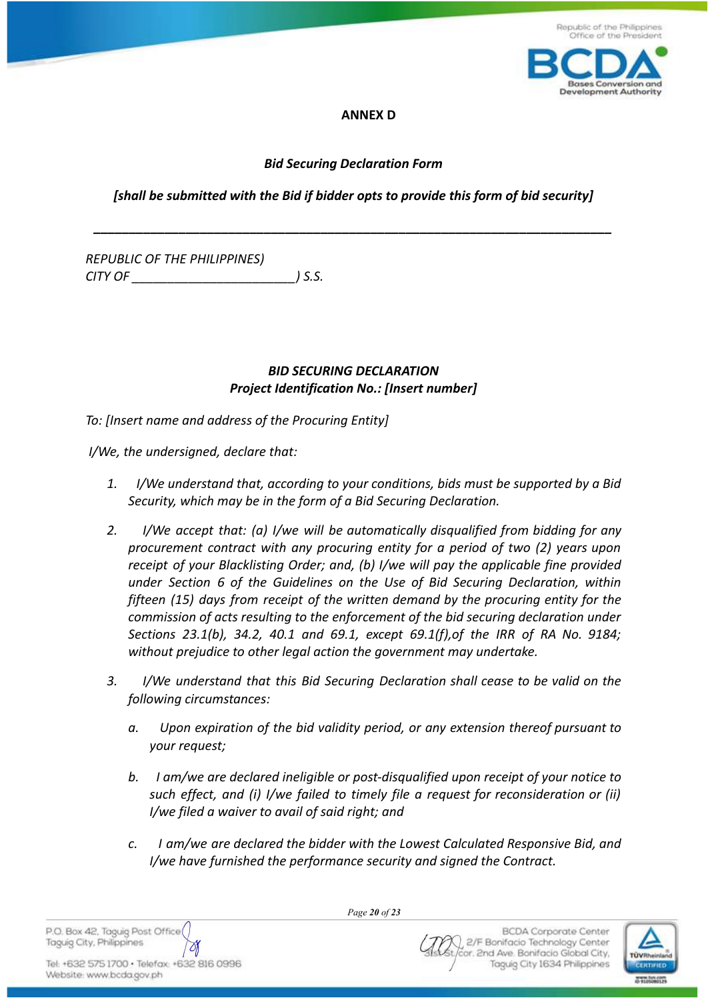

**Development Authority** 

### **ANNEX D**

## *Bid Securing Declaration Form*

# *[shall be submitted with the Bid if bidder opts to provide this form of bid security]*

*\_\_\_\_\_\_\_\_\_\_\_\_\_\_\_\_\_\_\_\_\_\_\_\_\_\_\_\_\_\_\_\_\_\_\_\_\_\_\_\_\_\_\_\_\_\_\_\_\_\_\_\_\_\_\_\_\_\_\_\_\_\_\_\_\_\_\_\_\_\_\_\_\_*

*REPUBLIC OF THE PHILIPPINES) CITY OF \_\_\_\_\_\_\_\_\_\_\_\_\_\_\_\_\_\_\_\_\_\_\_) S.S.*

# *BID SECURING DECLARATION Project Identification No.: [Insert number]*

*To: [Insert name and address of the Procuring Entity]*

*I/We, the undersigned, declare that:*

- *1. I/We understand that, according to your conditions, bids must be supported by a Bid Security, which may be in the form of a Bid Securing Declaration.*
- *2. I/We accept that: (a) I/we will be automatically disqualified from bidding for any procurement contract with any procuring entity for a period of two (2) years upon receipt of your Blacklisting Order; and, (b) I/we will pay the applicable fine provided under Section 6 of the Guidelines on the Use of Bid Securing Declaration, within fifteen (15) days from receipt of the written demand by the procuring entity for the commission of acts resulting to the enforcement of the bid securing declaration under Sections 23.1(b), 34.2, 40.1 and 69.1, except 69.1(f),of the IRR of RA No. 9184; without prejudice to other legal action the government may undertake.*
- *3. I/We understand that this Bid Securing Declaration shall cease to be valid on the following circumstances:*
	- *a. Upon expiration of the bid validity period, or any extension thereof pursuant to your request;*
	- *b. I am/we are declared ineligible or post-disqualified upon receipt of your notice to such effect, and (i) I/we failed to timely file a request for reconsideration or (ii) I/we filed a waiver to avail of said right; and*
	- *c. I am/we are declared the bidder with the Lowest Calculated Responsive Bid, and I/we have furnished the performance security and signed the Contract.*

P.O. Box 42, Taguig Post Office Taguig City, Philippines  $\delta$  *Page 20 of 23*

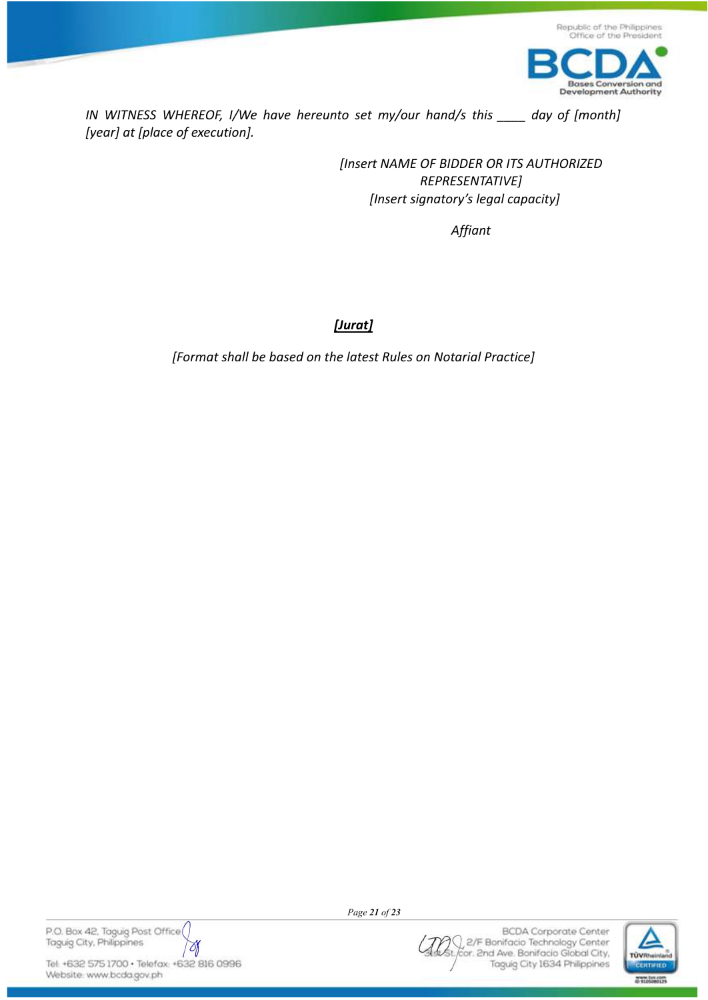

*IN WITNESS WHEREOF, I/We have hereunto set my/our hand/s this \_\_\_\_ day of [month] [year] at [place of execution].*

> *[Insert NAME OF BIDDER OR ITS AUTHORIZED REPRESENTATIVE] [Insert signatory's legal capacity]*

> > *Affiant*

*[Jurat]*

*[Format shall be based on the latest Rules on Notarial Practice]*

P.O. Box 42, Taguig Post Office Taguig City, Philippines Ŋ

Tel: +632 575 1700 · Telefax: +632 816 0996 Website: www.bcda.gov.ph

*Page 21 of 23*

**BCDA** Corporate Center n 2/F Bonifacio Technology Center cor. 2nd Ave. Bonifacio Global City, Taguig City 1634 Philippines

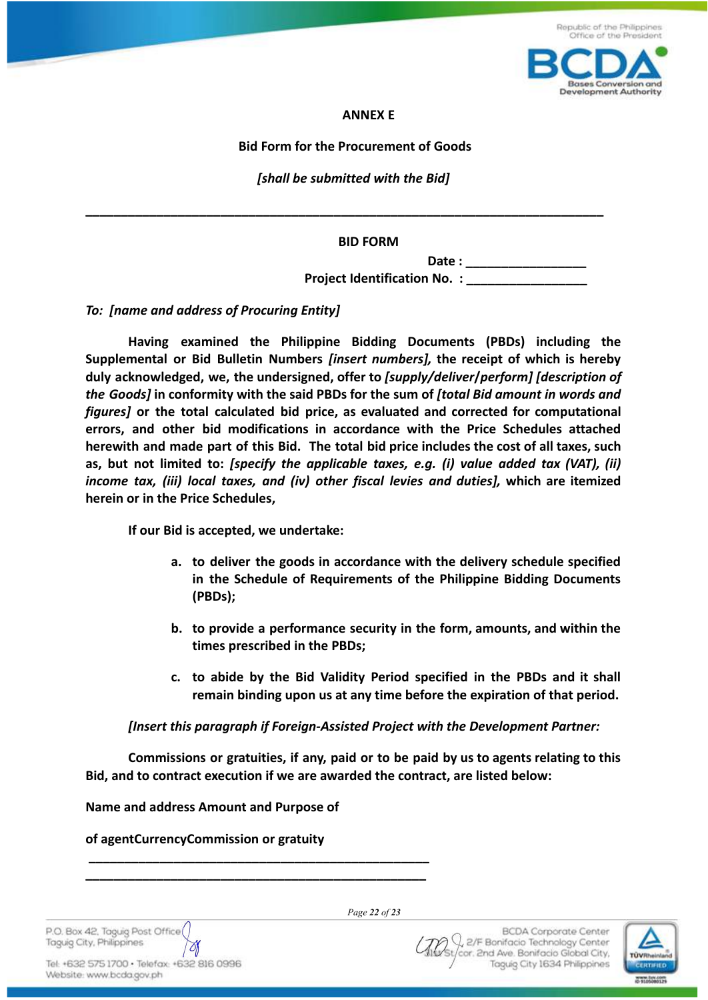

Republic of the Philippines

#### **ANNEX E**

#### **Bid Form for the Procurement of Goods**

*[shall be submitted with the Bid]*

**\_\_\_\_\_\_\_\_\_\_\_\_\_\_\_\_\_\_\_\_\_\_\_\_\_\_\_\_\_\_\_\_\_\_\_\_\_\_\_\_\_\_\_\_\_\_\_\_\_\_\_\_\_\_\_\_\_\_\_\_\_\_\_\_\_\_\_\_\_\_\_\_\_**

**BID FORM**

**Date : \_\_\_\_\_\_\_\_\_\_\_\_\_\_\_\_\_ Project Identification No. :** 

*To: [name and address of Procuring Entity]*

**Having examined the Philippine Bidding Documents (PBDs) including the Supplemental or Bid Bulletin Numbers** *[insert numbers],* **the receipt of which is hereby duly acknowledged, we, the undersigned, offer to** *[supply/deliver***/***perform] [description of the Goods]* **in conformity with the said PBDs for the sum of** *[total Bid amount in words and figures]* **or the total calculated bid price, as evaluated and corrected for computational errors, and other bid modifications in accordance with the Price Schedules attached herewith and made part of this Bid. The total bid price includes the cost of all taxes, such as, but not limited to:** *[specify the applicable taxes, e.g. (i) value added tax (VAT), (ii) income tax, (iii) local taxes, and (iv) other fiscal levies and duties],* **which are itemized herein or in the Price Schedules,**

**If our Bid is accepted, we undertake:**

- **a. to deliver the goods in accordance with the delivery schedule specified in the Schedule of Requirements of the Philippine Bidding Documents (PBDs);**
- **b. to provide a performance security in the form, amounts, and within the times prescribed in the PBDs;**
- **c. to abide by the Bid Validity Period specified in the PBDs and it shall remain binding upon us at any time before the expiration of that period.**

*[Insert this paragraph if Foreign-Assisted Project with the Development Partner:*

**Commissions or gratuities, if any, paid or to be paid by us to agents relating to this Bid, and to contract execution if we are awarded the contract, are listed below:**

**Name and address Amount and Purpose of**

**\_\_\_\_\_\_\_\_\_\_\_\_\_\_\_\_\_\_\_\_\_\_\_\_\_\_\_\_\_\_\_\_\_\_\_\_\_\_\_\_\_\_\_\_\_\_\_\_ \_\_\_\_\_\_\_\_\_\_\_\_\_\_\_\_\_\_\_\_\_\_\_\_\_\_\_\_\_\_\_\_\_\_\_\_\_\_\_\_\_\_\_\_\_\_\_\_**

**of agentCurrencyCommission or gratuity**

P.O. Box 42, Taguig Post Office Taguig City, Philippines  $\partial f$ 

Tel: +632 575 1700 · Telefax: +632 816 0996 Website: www.bcda.gov.ph

*Page 22 of 23*